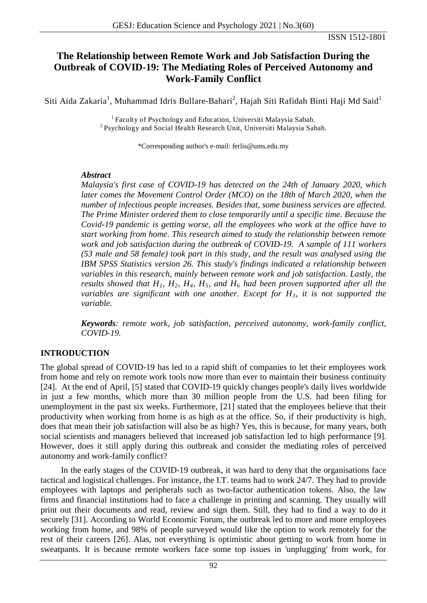# **The Relationship between Remote Work and Job Satisfaction During the Outbreak of COVID-19: The Mediating Roles of Perceived Autonomy and Work-Family Conflict**

Siti Aida Zakaria<sup>1</sup>, Muhammad Idris Bullare-Bahari<sup>2</sup>, Hajah Siti Rafidah Binti Haji Md Said<sup>1</sup>

<sup>1</sup> Faculty of Psychology and Education, Universiti Malaysia Sabah. <sup>2</sup> Psychology and Social Health Research Unit, Universiti Malaysia Sabah.

\*Corresponding author's e-mail: ferlis@ums.edu.my

#### *Abstract*

*Malaysia's first case of COVID-19 has detected on the 24th of January 2020, which later comes the Movement Control Order (MCO) on the 18th of March 2020, when the number of infectious people increases. Besides that, some business services are affected. The Prime Minister ordered them to close temporarily until a specific time. Because the Covid-19 pandemic is getting worse, all the employees who work at the office have to start working from home. This research aimed to study the relationship between remote work and job satisfaction during the outbreak of COVID-19. A sample of 111 workers (53 male and 58 female) took part in this study, and the result was analysed using the IBM SPSS Statistics version 26. This study's findings indicated a relationship between variables in this research, mainly between remote work and job satisfaction. Lastly, the results showed that H1, H2, H4, H5, and H6 had been proven supported after all the variables are significant with one another. Except for H3, it is not supported the variable.*

*Keywords: remote work, job satisfaction, perceived autonomy, work-family conflict, COVID-19.*

### **INTRODUCTION**

The global spread of COVID-19 has led to a rapid shift of companies to let their employees work from home and rely on remote work tools now more than ever to maintain their business continuity [24]. At the end of April, [5] stated that COVID-19 quickly changes people's daily lives worldwide in just a few months, which more than 30 million people from the U.S. had been filing for unemployment in the past six weeks. Furthermore, [21] stated that the employees believe that their productivity when working from home is as high as at the office. So, if their productivity is high, does that mean their job satisfaction will also be as high? Yes, this is because, for many years, both social scientists and managers believed that increased job satisfaction led to high performance [9]. However, does it still apply during this outbreak and consider the mediating roles of perceived autonomy and work-family conflict?

In the early stages of the COVID-19 outbreak, it was hard to deny that the organisations face tactical and logistical challenges. For instance, the I.T. teams had to work 24/7. They had to provide employees with laptops and peripherals such as two-factor authentication tokens. Also, the law firms and financial institutions had to face a challenge in printing and scanning. They usually will print out their documents and read, review and sign them. Still, they had to find a way to do it securely [31]. According to World Economic Forum, the outbreak led to more and more employees working from home, and 98% of people surveyed would like the option to work remotely for the rest of their careers [26]. Alas, not everything is optimistic about getting to work from home in sweatpants. It is because remote workers face some top issues in 'unplugging' from work, for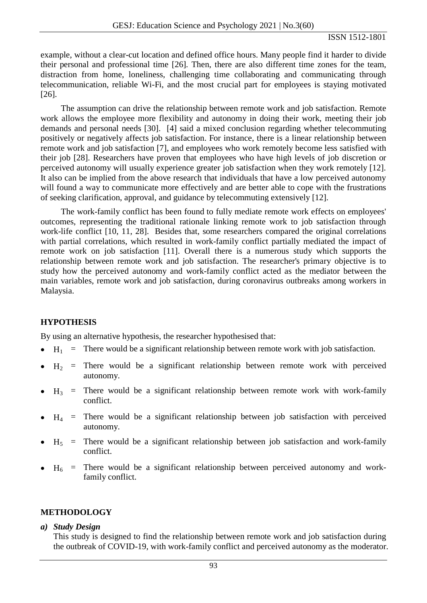example, without a clear-cut location and defined office hours. Many people find it harder to divide their personal and professional time [26]. Then, there are also different time zones for the team, distraction from home, loneliness, challenging time collaborating and communicating through telecommunication, reliable Wi-Fi, and the most crucial part for employees is staying motivated [26].

The assumption can drive the relationship between remote work and job satisfaction. Remote work allows the employee more flexibility and autonomy in doing their work, meeting their job demands and personal needs [30]. [4] said a mixed conclusion regarding whether telecommuting positively or negatively affects job satisfaction. For instance, there is a linear relationship between remote work and job satisfaction [7], and employees who work remotely become less satisfied with their job [28]. Researchers have proven that employees who have high levels of job discretion or perceived autonomy will usually experience greater job satisfaction when they work remotely [12]. It also can be implied from the above research that individuals that have a low perceived autonomy will found a way to communicate more effectively and are better able to cope with the frustrations of seeking clarification, approval, and guidance by telecommuting extensively [12].

The work-family conflict has been found to fully mediate remote work effects on employees' outcomes, representing the traditional rationale linking remote work to job satisfaction through work-life conflict [10, 11, 28]. Besides that, some researchers compared the original correlations with partial correlations, which resulted in work-family conflict partially mediated the impact of remote work on job satisfaction [11]. Overall there is a numerous study which supports the relationship between remote work and job satisfaction. The researcher's primary objective is to study how the perceived autonomy and work-family conflict acted as the mediator between the main variables, remote work and job satisfaction, during coronavirus outbreaks among workers in Malaysia.

### **HYPOTHESIS**

By using an alternative hypothesis, the researcher hypothesised that:

- $H_1$  = There would be a significant relationship between remote work with job satisfaction.
- $H_2$  = There would be a significant relationship between remote work with perceived autonomy.
- $H_3$  = There would be a significant relationship between remote work with work-family conflict.
- $H_4$  = There would be a significant relationship between job satisfaction with perceived autonomy.
- $H_5$  = There would be a significant relationship between job satisfaction and work-family conflict.
- $H<sub>6</sub>$  = There would be a significant relationship between perceived autonomy and workfamily conflict.

### **METHODOLOGY**

#### *a) Study Design*

This study is designed to find the relationship between remote work and job satisfaction during the outbreak of COVID-19, with work-family conflict and perceived autonomy as the moderator.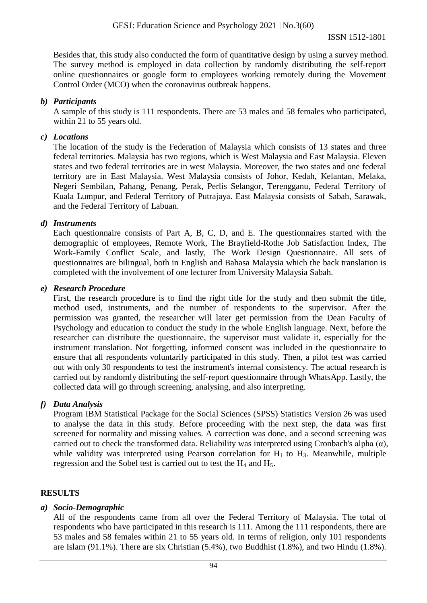Besides that, this study also conducted the form of quantitative design by using a survey method. The survey method is employed in data collection by randomly distributing the self-report online questionnaires or google form to employees working remotely during the Movement Control Order (MCO) when the coronavirus outbreak happens.

### *b) Participants*

A sample of this study is 111 respondents. There are 53 males and 58 females who participated, within 21 to 55 years old.

### *c) Locations*

The location of the study is the Federation of Malaysia which consists of 13 states and three federal territories. Malaysia has two regions, which is West Malaysia and East Malaysia. Eleven states and two federal territories are in west Malaysia. Moreover, the two states and one federal territory are in East Malaysia. West Malaysia consists of Johor, Kedah, Kelantan, Melaka, Negeri Sembilan, Pahang, Penang, Perak, Perlis Selangor, Terengganu, Federal Territory of Kuala Lumpur, and Federal Territory of Putrajaya. East Malaysia consists of Sabah, Sarawak, and the Federal Territory of Labuan.

### *d) Instruments*

Each questionnaire consists of Part A, B, C, D, and E. The questionnaires started with the demographic of employees, Remote Work, The Brayfield-Rothe Job Satisfaction Index, The Work-Family Conflict Scale, and lastly, The Work Design Questionnaire. All sets of questionnaires are bilingual, both in English and Bahasa Malaysia which the back translation is completed with the involvement of one lecturer from University Malaysia Sabah.

#### *e) Research Procedure*

First, the research procedure is to find the right title for the study and then submit the title, method used, instruments, and the number of respondents to the supervisor. After the permission was granted, the researcher will later get permission from the Dean Faculty of Psychology and education to conduct the study in the whole English language. Next, before the researcher can distribute the questionnaire, the supervisor must validate it, especially for the instrument translation. Not forgetting, informed consent was included in the questionnaire to ensure that all respondents voluntarily participated in this study. Then, a pilot test was carried out with only 30 respondents to test the instrument's internal consistency. The actual research is carried out by randomly distributing the self-report questionnaire through WhatsApp. Lastly, the collected data will go through screening, analysing, and also interpreting.

### *f) Data Analysis*

Program IBM Statistical Package for the Social Sciences (SPSS) Statistics Version 26 was used to analyse the data in this study. Before proceeding with the next step, the data was first screened for normality and missing values. A correction was done, and a second screening was carried out to check the transformed data. Reliability was interpreted using Cronbach's alpha  $(\alpha)$ , while validity was interpreted using Pearson correlation for  $H_1$  to  $H_3$ . Meanwhile, multiple regression and the Sobel test is carried out to test the  $H_4$  and  $H_5$ .

### **RESULTS**

### *a) Socio-Demographic*

All of the respondents came from all over the Federal Territory of Malaysia. The total of respondents who have participated in this research is 111. Among the 111 respondents, there are 53 males and 58 females within 21 to 55 years old. In terms of religion, only 101 respondents are Islam (91.1%). There are six Christian (5.4%), two Buddhist (1.8%), and two Hindu (1.8%).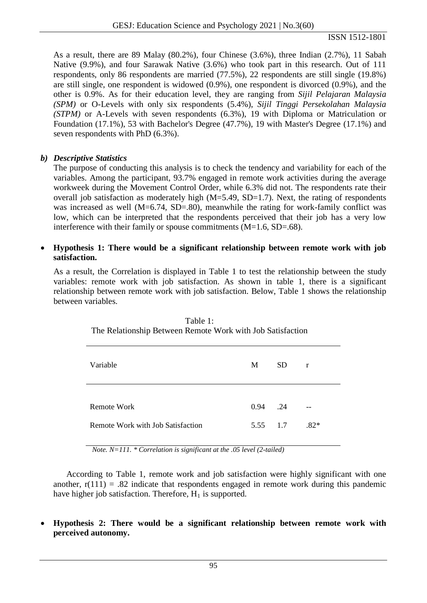ISSN 1512-1801

As a result, there are 89 Malay (80.2%), four Chinese (3.6%), three Indian (2.7%), 11 Sabah Native (9.9%), and four Sarawak Native (3.6%) who took part in this research. Out of 111 respondents, only 86 respondents are married (77.5%), 22 respondents are still single (19.8%) are still single, one respondent is widowed (0.9%), one respondent is divorced (0.9%), and the other is 0.9%. As for their education level, they are ranging from *Sijil Pelajaran Malaysia (SPM)* or O-Levels with only six respondents (5.4%), *Sijil Tinggi Persekolahan Malaysia (STPM)* or A-Levels with seven respondents (6.3%), 19 with Diploma or Matriculation or Foundation (17.1%), 53 with Bachelor's Degree (47.7%), 19 with Master's Degree (17.1%) and seven respondents with PhD (6.3%).

# *b) Descriptive Statistics*

The purpose of conducting this analysis is to check the tendency and variability for each of the variables. Among the participant, 93.7% engaged in remote work activities during the average workweek during the Movement Control Order, while 6.3% did not. The respondents rate their overall job satisfaction as moderately high  $(M=5.49, SD=1.7)$ . Next, the rating of respondents was increased as well (M=6.74, SD=.80), meanwhile the rating for work-family conflict was low, which can be interpreted that the respondents perceived that their job has a very low interference with their family or spouse commitments (M=1.6, SD=.68).

#### • **Hypothesis 1: There would be a significant relationship between remote work with job satisfaction.**

As a result, the Correlation is displayed in Table 1 to test the relationship between the study variables: remote work with job satisfaction. As shown in table 1, there is a significant relationship between remote work with job satisfaction. Below, Table 1 shows the relationship between variables.

| Variable                          | M        | SD. | $\mathbf{r}$ |
|-----------------------------------|----------|-----|--------------|
| Remote Work                       | 0.94 .24 |     | $- -$        |
| Remote Work with Job Satisfaction | 5.55 1.7 |     | $.82*$       |

Table 1: The Relationship Between Remote Work with Job Satisfaction

*Note. N=111. \* Correlation is significant at the .05 level (2-tailed)*

According to Table 1, remote work and job satisfaction were highly significant with one another,  $r(111) = .82$  indicate that respondents engaged in remote work during this pandemic have higher job satisfaction. Therefore,  $H_1$  is supported.

• **Hypothesis 2: There would be a significant relationship between remote work with perceived autonomy.**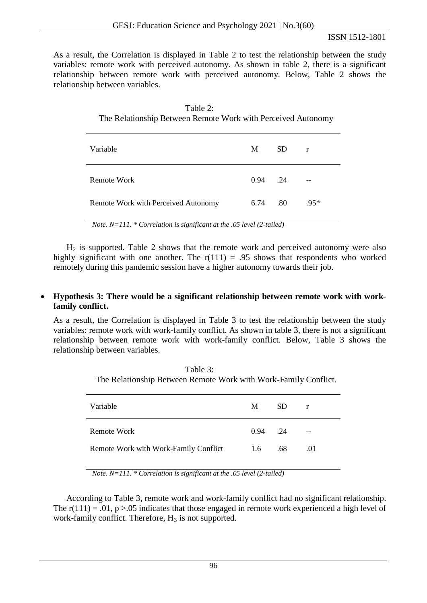ISSN 1512-1801

As a result, the Correlation is displayed in Table 2 to test the relationship between the study variables: remote work with perceived autonomy. As shown in table 2, there is a significant relationship between remote work with perceived autonomy. Below, Table 2 shows the relationship between variables.

| Table 2:                                                     |
|--------------------------------------------------------------|
| The Relationship Between Remote Work with Perceived Autonomy |

| Variable                            | M       | SD. | $\mathbf{r}$ |
|-------------------------------------|---------|-----|--------------|
| Remote Work                         | 0.94 24 |     | --           |
| Remote Work with Perceived Autonomy | 6.74    | .80 | $.95*$       |

*Note. N=111. \* Correlation is significant at the .05 level (2-tailed)*

 $H<sub>2</sub>$  is supported. Table 2 shows that the remote work and perceived autonomy were also highly significant with one another. The  $r(111) = .95$  shows that respondents who worked remotely during this pandemic session have a higher autonomy towards their job.

### • **Hypothesis 3: There would be a significant relationship between remote work with workfamily conflict.**

As a result, the Correlation is displayed in Table 3 to test the relationship between the study variables: remote work with work-family conflict. As shown in table 3, there is not a significant relationship between remote work with work-family conflict. Below, Table 3 shows the relationship between variables.

| Table 3:                                                        |  |  |
|-----------------------------------------------------------------|--|--|
| The Relationship Between Remote Work with Work-Family Conflict. |  |  |

| Variable                              | M          | SD. | $\mathbf{r}$ |
|---------------------------------------|------------|-----|--------------|
| Remote Work                           | $0.94$ .24 |     | $- -$        |
| Remote Work with Work-Family Conflict | 1.6        | .68 | .01          |

*Note. N=111. \* Correlation is significant at the .05 level (2-tailed)*

According to Table 3, remote work and work-family conflict had no significant relationship. The  $r(111) = .01$ ,  $p > .05$  indicates that those engaged in remote work experienced a high level of work-family conflict. Therefore,  $H_3$  is not supported.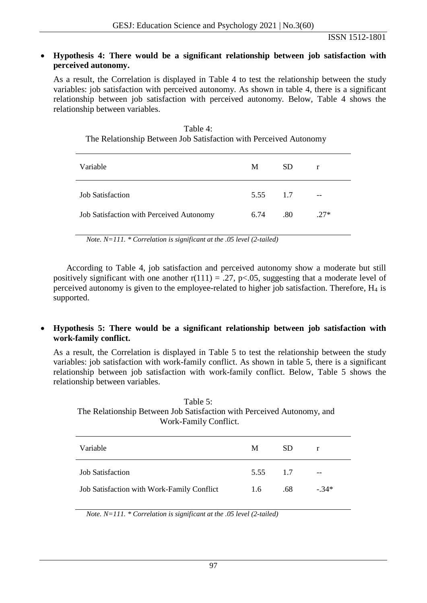#### • **Hypothesis 4: There would be a significant relationship between job satisfaction with perceived autonomy.**

As a result, the Correlation is displayed in Table 4 to test the relationship between the study variables: job satisfaction with perceived autonomy. As shown in table 4, there is a significant relationship between job satisfaction with perceived autonomy. Below, Table 4 shows the relationship between variables.

| Table 4:                                                          |
|-------------------------------------------------------------------|
| The Relationship Between Job Satisfaction with Perceived Autonomy |

| Variable                                 | M        | SD. | r      |
|------------------------------------------|----------|-----|--------|
| <b>Job Satisfaction</b>                  | 5.55 1.7 |     | $- -$  |
| Job Satisfaction with Perceived Autonomy | 6.74     | .80 | $.27*$ |

*Note. N=111. \* Correlation is significant at the .05 level (2-tailed)*

According to Table 4, job satisfaction and perceived autonomy show a moderate but still positively significant with one another  $r(111) = .27$ , p<.05, suggesting that a moderate level of perceived autonomy is given to the employee-related to higher job satisfaction. Therefore,  $H_4$  is supported.

### • **Hypothesis 5: There would be a significant relationship between job satisfaction with work-family conflict.**

As a result, the Correlation is displayed in Table 5 to test the relationship between the study variables: job satisfaction with work-family conflict. As shown in table 5, there is a significant relationship between job satisfaction with work-family conflict. Below, Table 5 shows the relationship between variables.

Table 5: The Relationship Between Job Satisfaction with Perceived Autonomy, and Work-Family Conflict.

| Variable                                   | M        | SD. | r      |
|--------------------------------------------|----------|-----|--------|
| <b>Job Satisfaction</b>                    | 5.55 1.7 |     | $-$    |
| Job Satisfaction with Work-Family Conflict | 1.6      | .68 | $-34*$ |

*Note. N=111. \* Correlation is significant at the .05 level (2-tailed)*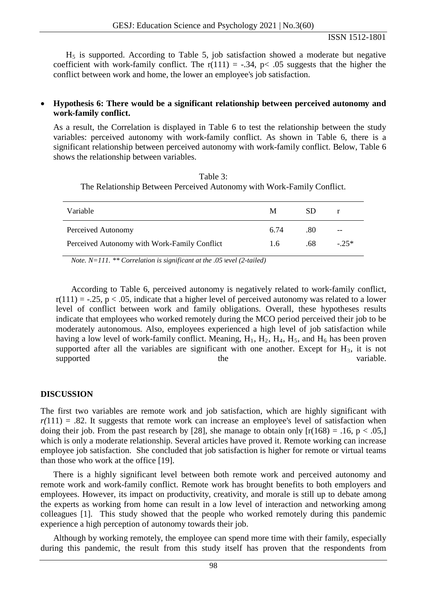$H<sub>5</sub>$  is supported. According to Table 5, job satisfaction showed a moderate but negative coefficient with work-family conflict. The  $r(111) = -.34$ ,  $p < .05$  suggests that the higher the conflict between work and home, the lower an employee's job satisfaction.

#### • **Hypothesis 6: There would be a significant relationship between perceived autonomy and work-family conflict.**

As a result, the Correlation is displayed in Table 6 to test the relationship between the study variables: perceived autonomy with work-family conflict. As shown in Table 6, there is a significant relationship between perceived autonomy with work-family conflict. Below, Table 6 shows the relationship between variables.

Table 3: The Relationship Between Perceived Autonomy with Work-Family Conflict.

| Variable                                     | M    | SD. | $\mathbf{r}$ |
|----------------------------------------------|------|-----|--------------|
| Perceived Autonomy                           | 6.74 | .80 | $- -$        |
| Perceived Autonomy with Work-Family Conflict | 1.6  | .68 | $-25*$       |

*Note. N=111.* \*\* *Correlation is significant at the .05 level* (2-tailed)

According to Table 6, perceived autonomy is negatively related to work-family conflict,  $r(111) = -.25$ ,  $p < .05$ , indicate that a higher level of perceived autonomy was related to a lower level of conflict between work and family obligations. Overall, these hypotheses results indicate that employees who worked remotely during the MCO period perceived their job to be moderately autonomous. Also, employees experienced a high level of job satisfaction while having a low level of work-family conflict. Meaning,  $H_1$ ,  $H_2$ ,  $H_4$ ,  $H_5$ , and  $H_6$  has been proven supported after all the variables are significant with one another. Except for  $H_3$ , it is not supported the variable.

#### **DISCUSSION**

The first two variables are remote work and job satisfaction, which are highly significant with  $r(111) = .82$ . It suggests that remote work can increase an employee's level of satisfaction when doing their job. From the past research by [28], she manage to obtain only  $[r(168) = .16, p < .05]$ which is only a moderate relationship. Several articles have proved it. Remote working can increase employee job satisfaction. She concluded that job satisfaction is higher for remote or virtual teams than those who work at the office [19].

There is a highly significant level between both remote work and perceived autonomy and remote work and work-family conflict. Remote work has brought benefits to both employers and employees. However, its impact on productivity, creativity, and morale is still up to debate among the experts as working from home can result in a low level of interaction and networking among colleagues [1]. This study showed that the people who worked remotely during this pandemic experience a high perception of autonomy towards their job.

Although by working remotely, the employee can spend more time with their family, especially during this pandemic, the result from this study itself has proven that the respondents from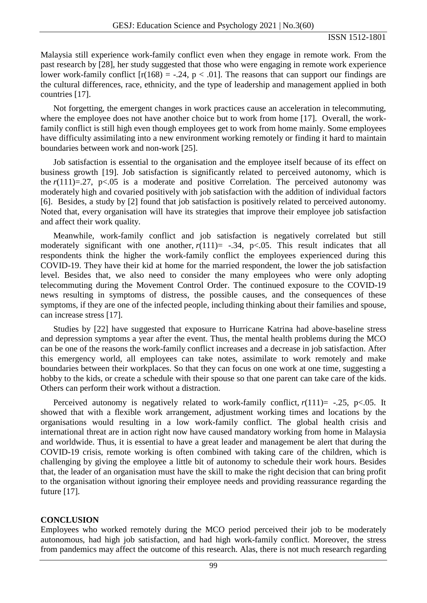Malaysia still experience work-family conflict even when they engage in remote work. From the past research by [28], her study suggested that those who were engaging in remote work experience lower work-family conflict  $[r(168) = -.24, p < .01]$ . The reasons that can support our findings are the cultural differences, race, ethnicity, and the type of leadership and management applied in both countries [17].

Not forgetting, the emergent changes in work practices cause an acceleration in telecommuting, where the employee does not have another choice but to work from home [17]. Overall, the workfamily conflict is still high even though employees get to work from home mainly. Some employees have difficulty assimilating into a new environment working remotely or finding it hard to maintain boundaries between work and non-work [25].

Job satisfaction is essential to the organisation and the employee itself because of its effect on business growth [19]. Job satisfaction is significantly related to perceived autonomy, which is the  $r(111)=.27$ ,  $p<.05$  is a moderate and positive Correlation. The perceived autonomy was moderately high and covaried positively with job satisfaction with the addition of individual factors [6]. Besides, a study by [2] found that job satisfaction is positively related to perceived autonomy. Noted that, every organisation will have its strategies that improve their employee job satisfaction and affect their work quality.

Meanwhile, work-family conflict and job satisfaction is negatively correlated but still moderately significant with one another,  $r(111)$ = -.34,  $p<.05$ . This result indicates that all respondents think the higher the work-family conflict the employees experienced during this COVID-19. They have their kid at home for the married respondent, the lower the job satisfaction level. Besides that, we also need to consider the many employees who were only adopting telecommuting during the Movement Control Order. The continued exposure to the COVID-19 news resulting in symptoms of distress, the possible causes, and the consequences of these symptoms, if they are one of the infected people, including thinking about their families and spouse, can increase stress [17].

Studies by [22] have suggested that exposure to Hurricane Katrina had above-baseline stress and depression symptoms a year after the event. Thus, the mental health problems during the MCO can be one of the reasons the work-family conflict increases and a decrease in job satisfaction. After this emergency world, all employees can take notes, assimilate to work remotely and make boundaries between their workplaces. So that they can focus on one work at one time, suggesting a hobby to the kids, or create a schedule with their spouse so that one parent can take care of the kids. Others can perform their work without a distraction.

Perceived autonomy is negatively related to work-family conflict,  $r(111)$ = -.25, p<.05. It showed that with a flexible work arrangement, adjustment working times and locations by the organisations would resulting in a low work-family conflict. The global health crisis and international threat are in action right now have caused mandatory working from home in Malaysia and worldwide. Thus, it is essential to have a great leader and management be alert that during the COVID-19 crisis, remote working is often combined with taking care of the children, which is challenging by giving the employee a little bit of autonomy to schedule their work hours. Besides that, the leader of an organisation must have the skill to make the right decision that can bring profit to the organisation without ignoring their employee needs and providing reassurance regarding the future [17].

#### **CONCLUSION**

Employees who worked remotely during the MCO period perceived their job to be moderately autonomous, had high job satisfaction, and had high work-family conflict. Moreover, the stress from pandemics may affect the outcome of this research. Alas, there is not much research regarding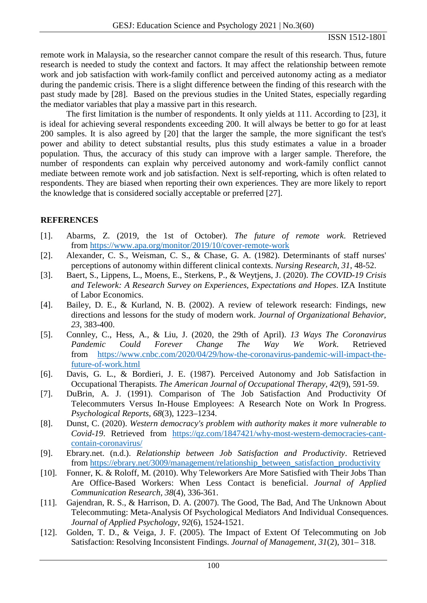remote work in Malaysia, so the researcher cannot compare the result of this research. Thus, future research is needed to study the context and factors. It may affect the relationship between remote work and job satisfaction with work-family conflict and perceived autonomy acting as a mediator during the pandemic crisis. There is a slight difference between the finding of this research with the past study made by [28]. Based on the previous studies in the United States, especially regarding the mediator variables that play a massive part in this research.

The first limitation is the number of respondents. It only yields at 111. According to [23], it is ideal for achieving several respondents exceeding 200. It will always be better to go for at least 200 samples. It is also agreed by [20] that the larger the sample, the more significant the test's power and ability to detect substantial results, plus this study estimates a value in a broader population. Thus, the accuracy of this study can improve with a larger sample. Therefore, the number of respondents can explain why perceived autonomy and work-family conflict cannot mediate between remote work and job satisfaction. Next is self-reporting, which is often related to respondents. They are biased when reporting their own experiences. They are more likely to report the knowledge that is considered socially acceptable or preferred [27].

# **REFERENCES**

- [1]. Abarms, Z. (2019, the 1st of October). *The future of remote work*. Retrieved from <https://www.apa.org/monitor/2019/10/cover-remote-work>
- [2]. Alexander, C. S., Weisman, C. S., & Chase, G. A. (1982). Determinants of staff nurses' perceptions of autonomy within different clinical contexts. *Nursing Research, 31*, 48-52.
- [3]. Baert, S., Lippens, L., Moens, E., Sterkens, P., & Weytjens, J. (2020). *The COVID-19 Crisis and Telework: A Research Survey on Experiences, Expectations and Hopes*. IZA Institute of Labor Economics.
- [4]. Bailey, D. E., & Kurland, N. B. (2002). A review of telework research: Findings, new directions and lessons for the study of modern work. *Journal of Organizational Behavior, 23*, 383-400.
- [5]. Connley, C., Hess, A., & Liu, J. (2020, the 29th of April). *13 Ways The Coronavirus Pandemic Could Forever Change The Way We Work*. Retrieved from [https://www.cnbc.com/2020/04/29/how-the-coronavirus-pandemic-will-impact-the](https://www.cnbc.com/2020/04/29/how-the-coronavirus-pandemic-will-impact-the-future-of-work.html)[future-of-work.html](https://www.cnbc.com/2020/04/29/how-the-coronavirus-pandemic-will-impact-the-future-of-work.html)
- [6]. Davis, G. L., & Bordieri, J. E. (1987). Perceived Autonomy and Job Satisfaction in Occupational Therapists*. The American Journal of Occupational Therapy, 42*(9), 591-59.
- [7]. DuBrin, A. J. (1991). Comparison of The Job Satisfaction And Productivity Of Telecommuters Versus In-House Employees: A Research Note on Work In Progress. *Psychological Reports, 68*(3), 1223–1234.
- [8]. Dunst, C. (2020). *Western democracy's problem with authority makes it more vulnerable to Covid-19*. Retrieved from [https://qz.com/1847421/why-most-western-democracies-cant](https://qz.com/1847421/why-most-western-democracies-cant-contain-coronavirus/)[contain-coronavirus/](https://qz.com/1847421/why-most-western-democracies-cant-contain-coronavirus/)
- [9]. Ebrary.net. (n.d.). *Relationship between Job Satisfaction and Productivity*. Retrieved from [https://ebrary.net/3009/management/relationship\\_between\\_satisfaction\\_productivity](https://ebrary.net/3009/management/relationship_between_satisfaction_productivity)
- [10]. Fonner, K. & Roloff, M. (2010). Why Teleworkers Are More Satisfied with Their Jobs Than Are Office-Based Workers: When Less Contact is beneficial. *Journal of Applied Communication Research, 38*(4), 336-361.
- [11]. Gajendran, R. S., & Harrison, D. A. (2007). The Good, The Bad, And The Unknown About Telecommuting: Meta-Analysis Of Psychological Mediators And Individual Consequences. *Journal of Applied Psychology, 92*(6), 1524-1521.
- [12]. Golden, T. D., & Veiga, J. F. (2005). The Impact of Extent Of Telecommuting on Job Satisfaction: Resolving Inconsistent Findings. *Journal of Management, 31*(2), 301– 318.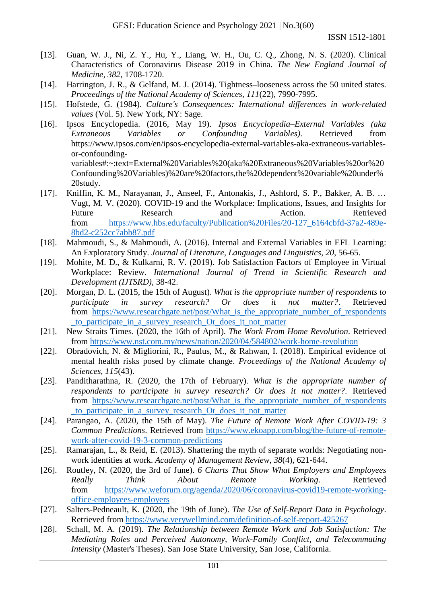ISSN 1512-1801

- [13]. Guan, W. J., Ni, Z. Y., Hu, Y., Liang, W. H., Ou, C. Q., Zhong, N. S. (2020). Clinical Characteristics of Coronavirus Disease 2019 in China. *The New England Journal of Medicine, 382*, 1708-1720.
- [14]. Harrington, J. R., & Gelfand, M. J. (2014). Tightness-looseness across the 50 united states. *Proceedings of the National Academy of Sciences, 111*(22), 7990-7995.
- [15]. Hofstede, G. (1984). *Culture's Consequences: International differences in work-related values* (Vol. 5). New York, NY: Sage.
- [16]. Ipsos Encyclopedia. (2016, May 19). *Ipsos Encyclopedia–External Variables (aka Extraneous Variables or Confounding Variables)*. Retrieved from https://www.ipsos.com/en/ipsos-encyclopedia-external-variables-aka-extraneous-variablesor-confoundingvariables#:~:text=External%20Variables%20(aka%20Extraneous%20Variables%20or%20 Confounding%20Variables)%20are%20factors,the%20dependent%20variable%20under%
- 20study. [17]. Kniffin, K. M., Narayanan, J., Anseel, F., Antonakis, J., Ashford, S. P., Bakker, A. B. … Vugt, M. V. (2020). COVID-19 and the Workplace: Implications, Issues, and Insights for Future Research and Action. Retrieved from [https://www.hbs.edu/faculty/Publication%20Files/20-127\\_6164cbfd-37a2-489e-](https://www.hbs.edu/faculty/Publication%20Files/20-127_6164cbfd-37a2-489e-8bd2-c252cc7abb87.pdf)[8bd2-c252cc7abb87.pdf](https://www.hbs.edu/faculty/Publication%20Files/20-127_6164cbfd-37a2-489e-8bd2-c252cc7abb87.pdf)
- [18]. Mahmoudi, S., & Mahmoudi, A. (2016). Internal and External Variables in EFL Learning: An Exploratory Study. *Journal of Literature, Languages and Linguistics, 20*, 56-65.
- [19]. Mohite, M. D., & Kulkarni, R. V. (2019). Job Satisfaction Factors of Employee in Virtual Workplace: Review. *International Journal of Trend in Scientific Research and Development (IJTSRD)*, 38-42.
- [20]. Morgan, D. L. (2015, the 15th of August). *What is the appropriate number of respondents to participate in survey research? Or does it not matter?*. Retrieved from [https://www.researchgate.net/post/What\\_is\\_the\\_appropriate\\_number\\_of\\_respondents](https://www.researchgate.net/post/What_is_the_appropriate_number_of_respondents_to_participate_in_a_survey_research_Or_does_it_not_matter) [\\_to\\_participate\\_in\\_a\\_survey\\_research\\_Or\\_does\\_it\\_not\\_matter](https://www.researchgate.net/post/What_is_the_appropriate_number_of_respondents_to_participate_in_a_survey_research_Or_does_it_not_matter)
- [21]. New Straits Times. (2020, the 16th of April). *The Work From Home Revolution*. Retrieved from<https://www.nst.com.my/news/nation/2020/04/584802/work-home-revolution>
- [22]. Obradovich, N. & Migliorini, R., Paulus, M., & Rahwan, I. (2018). Empirical evidence of mental health risks posed by climate change. *Proceedings of the National Academy of Sciences, 115*(43).
- [23]. Panditharathna, R. (2020, the 17th of February). *What is the appropriate number of respondents to participate in survey research? Or does it not matter?*. Retrieved from [https://www.researchgate.net/post/What\\_is\\_the\\_appropriate\\_number\\_of\\_respondents](https://www.researchgate.net/post/What_is_the_appropriate_number_of_respondents_to_participate_in_a_survey_research_Or_does_it_not_matter) [\\_to\\_participate\\_in\\_a\\_survey\\_research\\_Or\\_does\\_it\\_not\\_matter](https://www.researchgate.net/post/What_is_the_appropriate_number_of_respondents_to_participate_in_a_survey_research_Or_does_it_not_matter)
- [24]. Parangao, A. (2020, the 15th of May). *The Future of Remote Work After COVID-19: 3 Common Predictions*. Retrieved from [https://www.ekoapp.com/blog/the-future-of-remote](https://www.ekoapp.com/blog/the-future-of-remote-work-after-covid-19-3-common-predictions)[work-after-covid-19-3-common-predictions](https://www.ekoapp.com/blog/the-future-of-remote-work-after-covid-19-3-common-predictions)
- [25]. Ramarajan, L., & Reid, E. (2013). Shattering the myth of separate worlds: Negotiating nonwork identities at work. *Academy of Management Review, 38*(4), 621-644.
- [26]. Routley, N. (2020, the 3rd of June). *6 Charts That Show What Employers and Employees Really Think About Remote Working*. Retrieved from [https://www.weforum.org/agenda/2020/06/coronavirus-covid19-remote-working](https://www.weforum.org/agenda/2020/06/coronavirus-covid19-remote-working-office-employees-employers)[office-employees-employers](https://www.weforum.org/agenda/2020/06/coronavirus-covid19-remote-working-office-employees-employers)
- [27]. Salters-Pedneault, K. (2020, the 19th of June). *The Use of Self-Report Data in Psychology*. Retrieved from<https://www.verywellmind.com/definition-of-self-report-425267>
- [28]. Schall, M. A. (2019). *The Relationship between Remote Work and Job Satisfaction: The Mediating Roles and Perceived Autonomy, Work-Family Conflict, and Telecommuting Intensity* (Master's Theses). San Jose State University, San Jose, California.